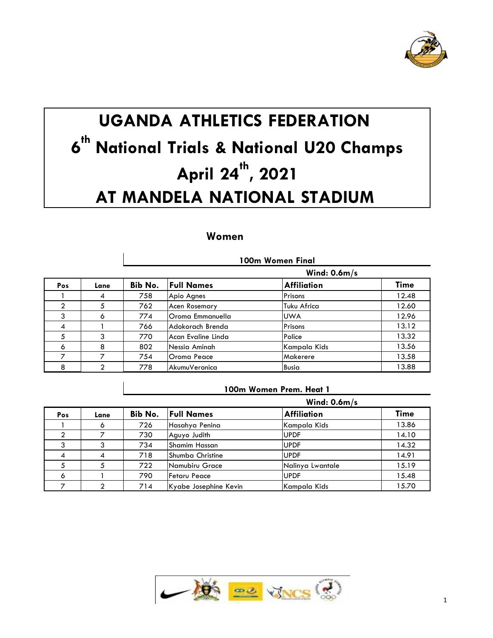

# **UGANDA ATHLETICS FEDERATION th National Trials & National U20 Champs April 24 th , 2021 AT MANDELA NATIONAL STADIUM**

# **Women**

 $\overline{\phantom{a}}$ 

|                |                | 100m Women Final<br>Wind: $0.6m/s$ |                      |                    |             |  |
|----------------|----------------|------------------------------------|----------------------|--------------------|-------------|--|
|                |                |                                    |                      |                    |             |  |
| Pos            | Lane           | Bib No.                            | <b>Full Names</b>    | <b>Affiliation</b> | <b>Time</b> |  |
|                | 4              | 758                                | Apio Agnes           | Prisons            | 12.48       |  |
| $\overline{2}$ | 5              | 762                                | <b>Acen Rosemary</b> | Tuku Africa        | 12.60       |  |
| 3              | Ô.             | 774                                | Oroma Emmanuella     | <b>UWA</b>         | 12.96       |  |
| 4              |                | 766                                | Adokorach Brenda     | Prisons            | 13.12       |  |
| 5              | 3              | 770                                | Acan Evaline Linda   | Police             | 13.32       |  |
| 6              | 8              | 802                                | Nessia Aminah        | Kampala Kids       | 13.56       |  |
|                | ⇁              | 754                                | Oroma Peace          | Makerere           | 13.58       |  |
| 8              | $\mathfrak{D}$ | 778                                | AkumuVeronica        | <b>Busia</b>       | 13.88       |  |

|     |      |         | Wind: $0.6m/s$          |                    |             |
|-----|------|---------|-------------------------|--------------------|-------------|
| Pos | Lane | Bib No. | <b>Full Names</b>       | <b>Affiliation</b> | <b>Time</b> |
|     |      | 726.    | Hasahya Penina          | Kampala Kids       | 13.86       |
|     |      | 730     | Aguyo Judith            | <b>UPDF</b>        | 14.10       |
|     |      | 734     | Shamim Hassan           | <b>UPDF</b>        | 14.32       |
| 4   | 4    | 718     | <b>Shumba Christine</b> | <b>UPDF</b>        | 14.91       |
|     |      | 722     | Namubiru Grace          | Nalinya Lwantale   | 15.19       |
| 6   |      | 790     | <b>Fetaru Peace</b>     | <b>UPDF</b>        | 15.48       |
|     |      | 714     | Kyabe Josephine Kevin   | Kampala Kids       | 15.70       |

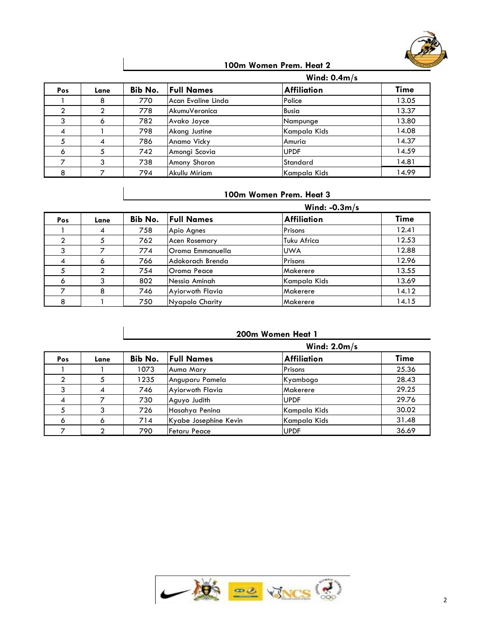

#### **100m Women Prem. Heat 2**

|     |      |         | Wind: $0.4m/s$     |                    |             |
|-----|------|---------|--------------------|--------------------|-------------|
| Pos | Lane | Bib No. | <b>Full Names</b>  | <b>Affiliation</b> | <b>Time</b> |
|     | 8    | 770     | Acan Evaline Linda | Police             | 13.05       |
|     |      | 778     | AkumuVeronica      | <b>Busia</b>       | 13.37       |
| 3   | Ô    | 782     | Avako Joyce        | Nampunge           | 13.80       |
| 4   |      | 798     | Akong Justine      | Kampala Kids       | 14.08       |
|     | 4    | 786     | Anamo Vicky        | Amuria             | 14.37       |
| 6   |      | 742     | Amongi Scovia      | <b>UPDF</b>        | 14.59       |
|     |      | 738     | Amony Sharon       | Standard           | 14.81       |
| 8   |      | 794     | Akullu Miriam      | Kampala Kids       | 14.99       |

#### **100m Women Prem. Heat 3**

| Pos            |      | Wind: $-0.3m/s$ |                   |                    |       |  |
|----------------|------|-----------------|-------------------|--------------------|-------|--|
|                | Lane | Bib No.         | <b>Full Names</b> | <b>Affiliation</b> | Time  |  |
|                | 4    | 758             | Apio Agnes        | Prisons            | 12.41 |  |
| $\mathfrak{p}$ |      | 762             | Acen Rosemary     | Tuku Africa        | 12.53 |  |
| 3              |      | 774             | lOroma Emmanuella | <b>UWA</b>         | 12.88 |  |
| $\overline{4}$ | Ô    | 766             | Adokorach Brenda  | Prisons            | 12.96 |  |
|                |      | 754             | Oroma Peace       | Makerere           | 13.55 |  |
| 6              | 3    | 802             | Nessia Aminah     | Kampala Kids       | 13.69 |  |
|                | 8    | 746             | Ayiorwoth Flavia  | Makerere           | 14.12 |  |
| 8              |      | 750             | Nyapolo Charity   | Makerere           | 14.15 |  |

# **200m Women Heat 1**

| Pos            |      | Wind: $2.0m/s$ |                       |                    |             |  |  |
|----------------|------|----------------|-----------------------|--------------------|-------------|--|--|
|                | Lane | Bib No.        | <b>Full Names</b>     | <b>Affiliation</b> | <b>Time</b> |  |  |
|                |      | 1073           | Auma Mary             | Prisons            | 25.36       |  |  |
| ◠              |      | 1235           | Anguparu Pamela       | Kyambogo           | 28.43       |  |  |
|                |      | 746            | Ayiorwoth Flavia      | Makerere           | 29.25       |  |  |
| $\overline{A}$ |      | 730            | Aguyo Judith          | <b>UPDF</b>        | 29.76       |  |  |
|                |      | 726            | Hasahya Penina        | Kampala Kids       | 30.02       |  |  |
| 6              | O    | 714            | Kyabe Josephine Kevin | Kampala Kids       | 31.48       |  |  |
|                |      | 790            | Fetaru Peace          | <b>UPDF</b>        | 36.69       |  |  |

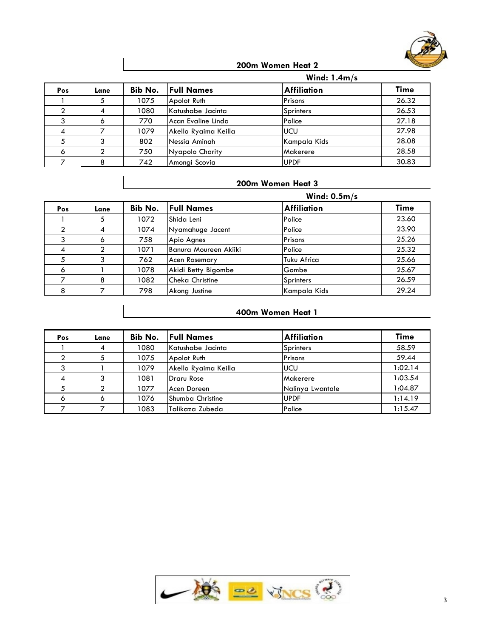

#### **200m Women Heat 2**

|         |      |         | Wind: $1.4m/s$       |                    |       |
|---------|------|---------|----------------------|--------------------|-------|
| Pos     | Lane | Bib No. | <b>Full Names</b>    | <b>Affiliation</b> | Time  |
|         |      | 1075    | Apolot Ruth          | Prisons            | 26.32 |
|         | 4    | 1080    | Katushabe Jacinta    | <b>Sprinters</b>   | 26.53 |
|         |      | 770     | Acan Evaline Linda   | Police             | 27.18 |
| 4       |      | 1079    | Akello Ryaima Keilla | <b>UCU</b>         | 27.98 |
|         |      | 802     | Nessia Aminah        | Kampala Kids       | 28.08 |
| $\circ$ |      | 750.    | Nyapolo Charity      | Makerere           | 28.58 |
|         |      | 742     | Amongi Scovia        | <b>UPDF</b>        | 30.83 |

#### **200m Women Heat 3**

|                |      |         | Wind: $0.5m/s$        |                    |       |
|----------------|------|---------|-----------------------|--------------------|-------|
| Pos            | Lane | Bib No. | <b>Full Names</b>     | <b>Affiliation</b> | Time  |
|                |      | 1072    | Shida Leni            | Police             | 23.60 |
|                | 4    | 1074    | Nyamahuge Jacent      | Police             | 23.90 |
| 3              | ω    | 758     | Apio Agnes            | Prisons            | 25.26 |
| $\overline{A}$ |      | 1071    | Banura Moureen Akiiki | Police             | 25.32 |
| 5              | 3    | 762     | Acen Rosemary         | Tuku Africa        | 25.66 |
| 6              |      | 1078    | Akidi Betty Bigombe   | Gombe              | 25.67 |
|                | 8    | 1082    | Cheka Christine       | <b>Sprinters</b>   | 26.59 |
| 8              |      | 798     | Akong Justine         | Kampala Kids       | 29.24 |

# **400m Women Heat 1**

| Pos     | Lane | Bib No. | <b>Full Names</b>       | <b>Affiliation</b> | <b>Time</b> |
|---------|------|---------|-------------------------|--------------------|-------------|
|         |      | 1080    | Katushabe Jacinta       | <b>Sprinters</b>   | 58.59       |
| ◠       |      | 1075    | Apolot Ruth             | Prisons            | 59.44       |
|         |      | 1079    | Akello Ryaima Keilla    | <b>IUCU</b>        | 1:02.14     |
| 4       |      | 1081    | Draru Rose              | <b>Makerere</b>    | 1:03.54     |
|         |      | 1077    | Acen Doreen             | Nalinya Lwantale   | 1:04.87     |
| $\circ$ | ۰    | 1076    | <b>Shumba Christine</b> | <b>UPDF</b>        | 1:14.19     |
|         |      | 1083    | Talikaza Zubeda         | Police             | 1:15.47     |

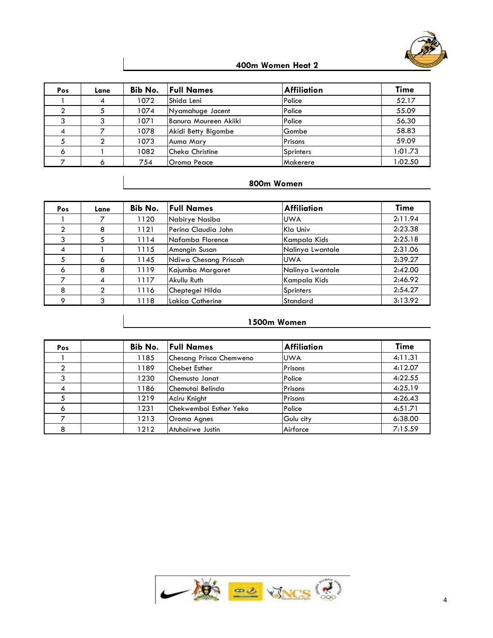

#### **400m Women Heat 2**

| Pos            | Lane | Bib No. | <b>Full Names</b>     | <b>Affiliation</b> | <b>Time</b> |
|----------------|------|---------|-----------------------|--------------------|-------------|
|                |      | 1072    | Shida Leni            | Police             | 52.17       |
|                |      | 1074    | Nyamahuge Jacent      | Police             | 55.09       |
|                |      | 1071    | Banura Moureen Akiiki | Police             | 56.30       |
| $\overline{4}$ |      | 1078    | Akidi Betty Bigombe   | Gombe              | 58.83       |
|                |      | 1073    | Auma Mary             | Prisons            | 59.09       |
| 6              |      | 1082    | Cheka Christine       | <b>Sprinters</b>   | 1:01.73     |
|                |      | 754     | Oroma Peace           | Makerere           | 1:02.50     |

#### **800m Women**

| Pos                      | Lane | Bib No. | <b>Full Names</b>     | <b>Affiliation</b> | <b>Time</b> |
|--------------------------|------|---------|-----------------------|--------------------|-------------|
|                          |      | 1120    | Nabirye Nasiba        | <b>UWA</b>         | 2:11.94     |
|                          | 8    | 1121    | Perina Claudia John   | Kla Univ           | 2:23.38     |
|                          |      | 1114    | Nafamba Florence      | Kampala Kids       | 2:25.18     |
| $\overline{\mathcal{A}}$ |      | 1115    | Amongin Susan         | Nalinya Lwantale   | 2:31.06     |
| 5                        | 6    | 1145    | Ndiwa Chesang Priscah | <b>UWA</b>         | 2:39.27     |
| 6                        | 8    | 1119    | Kajumba Margaret      | Nalinya Lwantale   | 2:42.00     |
|                          |      | 1117    | Akullu Ruth           | Kampala Kids       | 2:46.92     |
| 8                        |      | 1116    | Cheptegei Hilda       | <b>Sprinters</b>   | 2:54.27     |
| $\circ$                  | 3    | 1118    | Lakica Catherine      | Standard           | 3:13.92     |

#### **1500m Women**

| Pos | Bib No. | <b>Full Names</b>       | <b>Affiliation</b> | <b>Time</b> |
|-----|---------|-------------------------|--------------------|-------------|
|     | 1185    | Chesang Prisca Chemweno | <b>UWA</b>         | 4:11.31     |
|     | 1189    | Chebet Esther           | Prisons            | 4:12.07     |
| 3   | 1230    | <b>Chemusto Janat</b>   | Police             | 4:22.55     |
| -4  | 1186    | Chemutai Belinda        | Prisons            | 4:25.19     |
| 5   | 1219    | Aciru Knight            | Prisons            | 4:26.43     |
| 6   | 1231    | lChekwemboi Esther Yeko | Police             | 4:51.71     |
|     | 1213    | Oroma Agnes             | Gulu city          | 6:38.00     |
| 8   | 1212    | Atuhairwe Justin        | Airforce           | 7:15.59     |

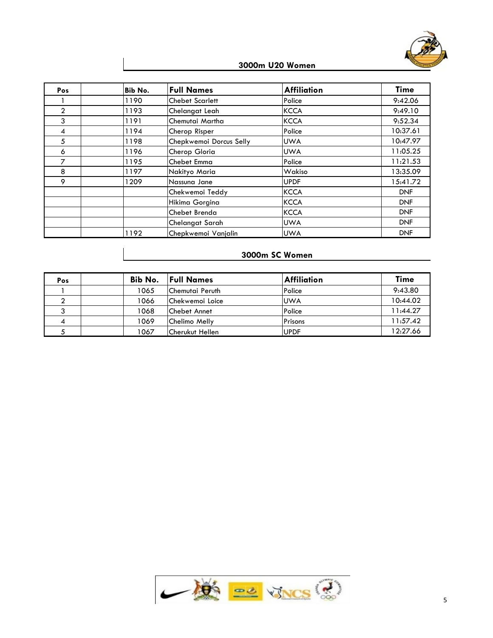

#### **3000m U20 Women**

| Pos            | Bib No. | <b>Full Names</b>       | <b>Affiliation</b> | <b>Time</b> |
|----------------|---------|-------------------------|--------------------|-------------|
|                | 1190    | Chebet Scarlett         | Police             | 9:42.06     |
| $\overline{2}$ | 1193    | Chelangat Leah          | <b>KCCA</b>        | 9:49.10     |
| 3              | 1191    | Chemutai Martha         | <b>KCCA</b>        | 9:52.34     |
| 4              | 1194    | Cherop Risper           | Police             | 10:37.61    |
| 5              | 1198    | Chepkwemoi Dorcus Selly | <b>UWA</b>         | 10:47.97    |
| 6              | 1196    | Cherop Gloria           | <b>UWA</b>         | 11:05.25    |
| 7              | 1195    | Chebet Emma             | Police             | 11:21.53    |
| 8              | 1197    | Nakityo Maria           | Wakiso             | 13:35.09    |
| 9              | 1209    | Nassuna Jane            | <b>UPDF</b>        | 15:41.72    |
|                |         | Chekwemoi Teddy         | <b>KCCA</b>        | <b>DNF</b>  |
|                |         | Hikima Gorgina          | <b>KCCA</b>        | <b>DNF</b>  |
|                |         | Chebet Brenda           | <b>KCCA</b>        | <b>DNF</b>  |
|                |         | Chelangat Sarah         | <b>UWA</b>         | <b>DNF</b>  |
|                | 1192    | Chepkwemoi Vanjalin     | <b>UWA</b>         | <b>DNF</b>  |

# **3000m SC Women**

| Pos | Bib No. | <b>Full Names</b>       | <b>Affiliation</b> | <b>Time</b> |
|-----|---------|-------------------------|--------------------|-------------|
|     | 1065    | <b>Chemutai Peruth</b>  | Police             | 9:43.80     |
|     | 1066    | <b>IChekwemoi Loice</b> | <b>UWA</b>         | 10:44.02    |
|     | 1068    | <b>Chebet Annet</b>     | Police             | 1:44.27     |
|     | 1069    | Chelimo Melly           | Prisons            | 1:57.42     |
|     | 1067    | Cherukut Hellen         | <b>UPDF</b>        | 12:27.66    |

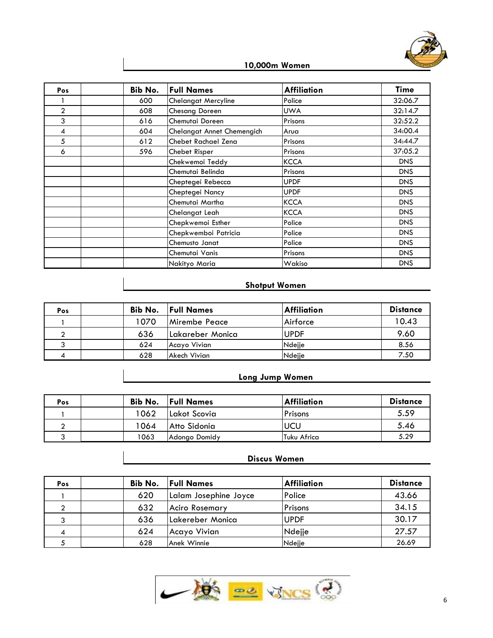

#### **10,000m Women**

| Pos            | Bib No. | <b>Full Names</b>          | <b>Affiliation</b> | Time       |
|----------------|---------|----------------------------|--------------------|------------|
|                | 600     | Chelangat Mercyline        | Police             | 32:06.7    |
| $\overline{2}$ | 608     | Chesang Doreen             | <b>UWA</b>         | 32:14.7    |
| 3              | 616     | Chemutai Doreen            | Prisons            | 32:52.2    |
| 4              | 604     | Chelangat Annet Chemengich | Arua               | 34:00.4    |
| 5              | 612     | Chebet Rachael Zena        | Prisons            | 34:44.7    |
| 6              | 596     | Chebet Risper              | Prisons            | 37:05.2    |
|                |         | Chekwemoi Teddy            | <b>KCCA</b>        | <b>DNS</b> |
|                |         | Chemutai Belinda           | Prisons            | <b>DNS</b> |
|                |         | Cheptegei Rebecca          | <b>UPDF</b>        | <b>DNS</b> |
|                |         | Cheptegei Nancy            | <b>UPDF</b>        | DNS        |
|                |         | Chemutai Martha            | <b>KCCA</b>        | DNS        |
|                |         | Chelangat Leah             | <b>KCCA</b>        | DNS        |
|                |         | Chepkwemoi Esther          | Police             | <b>DNS</b> |
|                |         | Chepkwemboi Patricia       | Police             | <b>DNS</b> |
|                |         | Chemusto Janat             | Police             | DNS        |
|                |         | Chemutai Vanis             | Prisons            | DNS        |
|                |         | Nakityo Maria              | Wakiso             | DNS        |

# **Shotput Women**

| Pos | Bib No. | <b>Full Names</b>     | <b>Affiliation</b> | <b>Distance</b> |
|-----|---------|-----------------------|--------------------|-----------------|
|     | 1070    | <b>IMirembe Peace</b> | Airforce           | 10.43           |
|     | 636     | ILakareber Monica     | <b>UPDF</b>        | 9.60            |
|     | 624     | Acayo Vivian          | Ndejje             | 8.56            |
|     | 628     | Akech Vivian          | Ndejje             | 7.50            |

## **Long Jump Women**

| Pos | Bib No. | <b>Full Names</b> | <b>Affiliation</b> | <b>Distance</b> |
|-----|---------|-------------------|--------------------|-----------------|
|     | 1062    | Lakot Scovia      | Prisons            | 5.59            |
|     | 1064    | Atto Sidonia      | UCU                | 5.46            |
|     | 1063    | Adongo Domidy     | Tuku Africa        | 5.29            |

# **Discus Women**

| Pos | Bib No. | <b>Full Names</b>     | <b>Affiliation</b> | <b>Distance</b> |
|-----|---------|-----------------------|--------------------|-----------------|
|     | 620     | Lalam Josephine Joyce | Police             | 43.66           |
|     | 632     | <b>Aciro Rosemary</b> | Prisons            | 34.15           |
| J.  | 636     | Lakereber Monica      | <b>UPDF</b>        | 30.17           |
| 4   | 624     | Acayo Vivian          | Ndejje             | 27.57           |
|     | 628     | Anek Winnie           | Ndejje             | 26.69           |

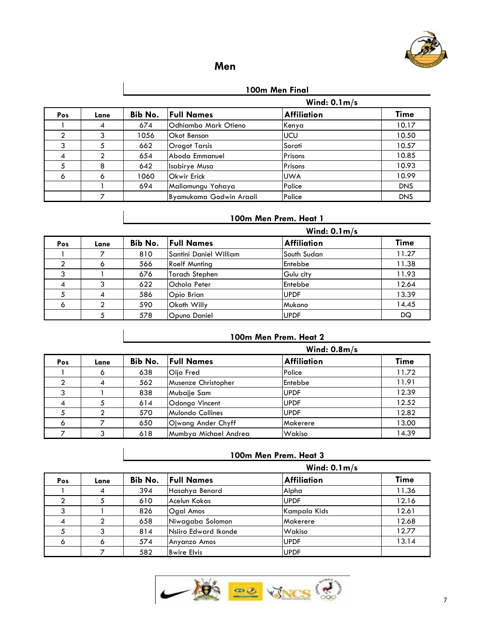

# **Men**

#### **100m Men Final**

|     |      |                | Wind: $0.1 m/s$         |                    |             |
|-----|------|----------------|-------------------------|--------------------|-------------|
| Pos | Lane | <b>Bib No.</b> | <b>Full Names</b>       | <b>Affiliation</b> | <b>Time</b> |
|     | 4    | 674            | Odhiambo Mark Otieno    | Kenya              | 10.17       |
|     |      | 1056           | Okot Benson             | <b>UCU</b>         | 10.50       |
| 3   |      | 662            | Orogot Tarsis           | Soroti             | 10.57       |
| 4   |      | 654            | Aboda Emmanuel          | Prisons            | 10.85       |
| 5   | 8    | 642            | Isabirye Musa           | Prisons            | 10.93       |
| 6   | 6    | 1060           | <b>Okwir Erick</b>      | <b>UWA</b>         | 10.99       |
|     |      | 694            | Maliamungu Yahaya       | Police             | <b>DNS</b>  |
|     |      |                | Byamukama Godwin Araali | Police             | <b>DNS</b>  |

## **100m Men Prem. Heat 1**

|     |      |     | Wind: $0.1 m/s$           |                    |             |  |  |
|-----|------|-----|---------------------------|--------------------|-------------|--|--|
| Pos | Lane |     | <b>Bib No.</b> Full Names | <b>Affiliation</b> | <b>Time</b> |  |  |
|     |      | 810 | Santini Daniel William    | South Sudan        | 11.27       |  |  |
|     |      | 566 | <b>Roelf Munting</b>      | Entebbe            | 11.38       |  |  |
| 3   |      | 676 | <b>Torach Stephen</b>     | Gulu city          | 11.93       |  |  |
|     |      | 622 | <b>Ochola Peter</b>       | Entebbe            | 12.64       |  |  |
|     | 4    | 586 | Opio Brian                | <b>UPDF</b>        | 13.39       |  |  |
| Ó   |      | 590 | <b>Okoth Willy</b>        | Mukono             | 14.45       |  |  |
|     |      | 578 | Opuno Daniel              | <b>UPDF</b>        | DQ          |  |  |

#### **100m Men Prem. Heat 2**

|                |      |         | Wind: $0.8m/s$        |                    |             |  |
|----------------|------|---------|-----------------------|--------------------|-------------|--|
| Pos            | Lane | Bib No. | <b>Full Names</b>     | <b>Affiliation</b> | <b>Time</b> |  |
|                | Ô    | 638     | Oija Fred             | Police             | 11.72       |  |
|                | 4    | 562     | Musenze Christopher   | Entebbe            | 11.91       |  |
| 3              |      | 838     | Mubajje Sam           | <b>UPDF</b>        | 12.39       |  |
| $\overline{4}$ |      | 614     | Odongo Vincent        | <b>UPDF</b>        | 12.52       |  |
|                |      | 570     | Mulondo Collines      | <b>UPDF</b>        | 12.82       |  |
| 6              |      | 650     | Ojwang Ander Chyff    | Makerere           | 13.00       |  |
|                |      | 618     | Mumbya Michael Andrea | Wakiso             | 14.39       |  |

#### **100m Men Prem. Heat 3**

|     |      | Wind: $0.1 m/s$ |                      |                    |             |  |  |  |
|-----|------|-----------------|----------------------|--------------------|-------------|--|--|--|
| Pos | Lane | Bib No.         | <b>Full Names</b>    | <b>Affiliation</b> | <b>Time</b> |  |  |  |
|     |      | 394             | Hasahya Benard       | Alpha              | 11.36       |  |  |  |
|     |      | 610             | Acelun Kokas         | <b>UPDF</b>        | 12.16       |  |  |  |
|     |      | 826             | <b>Ogal Amos</b>     | Kampala Kids       | 12.61       |  |  |  |
|     |      | 658             | Niwagaba Solomon     | Makerere           | 12.68       |  |  |  |
|     |      | 814             | Nsiiro Edward Ikonde | Wakiso             | 12.77       |  |  |  |
| 6   |      | 574             | Anyanzo Amos         | <b>UPDF</b>        | 13.14       |  |  |  |
|     |      | 582             | <b>Bwire Elvis</b>   | <b>UPDF</b>        |             |  |  |  |

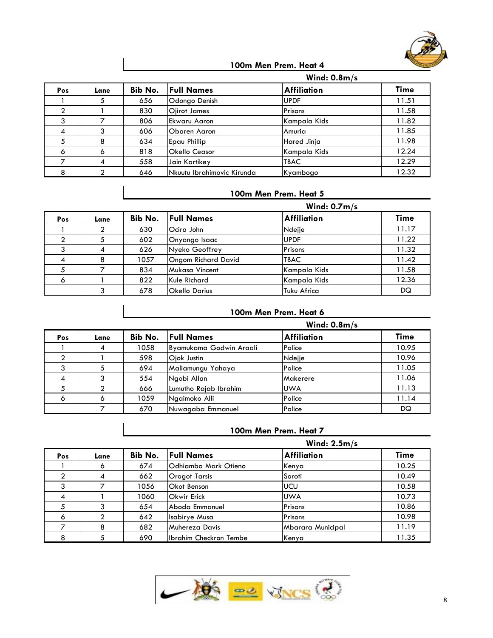

#### **100m Men Prem. Heat 4**

|     |      |         |                            | Wind: $0.8m/s$     |             |  |
|-----|------|---------|----------------------------|--------------------|-------------|--|
| Pos | Lane | Bib No. | <b>Full Names</b>          | <b>Affiliation</b> | <b>Time</b> |  |
|     |      | 656     | Odongo Denish              | <b>UPDF</b>        | 11.51       |  |
|     |      | 830     | Ojirot James               | Prisons            | 11.58       |  |
| 3   |      | 806     | Ekwaru Aaron               | Kampala Kids       | 11.82       |  |
| 4   |      | 606     | Obaren Aaron               | Amuria             | 11.85       |  |
| 5   | 8    | 634     | Epau Phillip               | Hared Jinja        | 11.98       |  |
| 6   | Ô    | 818     | <b>Okello Ceasor</b>       | Kampala Kids       | 12.24       |  |
|     | 4    | 558     | Jain Kartikey              | <b>TBAC</b>        | 12.29       |  |
| 8   |      | 646     | Nkuutu Ibrahimovic Kirunda | Kyambogo           | 12.32       |  |

#### **100m Men Prem. Heat 5**

|         |      |         | Wind: $0.7m/s$             |                    |             |  |  |
|---------|------|---------|----------------------------|--------------------|-------------|--|--|
| Pos     | Lane | Bib No. | <b>Full Names</b>          | <b>Affiliation</b> | <b>Time</b> |  |  |
|         |      | 630     | Ocira John                 | Ndejje             | 11.17       |  |  |
|         |      | 602     | Onyango Isaac              | <b>UPDF</b>        | 11.22       |  |  |
| 3       | 4    | 626     | Nyeko Geoffrey             | Prisons            | 11.32       |  |  |
| 4       | 8    | 1057    | <b>Ongom Richard David</b> | <b>TBAC</b>        | 11.42       |  |  |
|         |      | 834     | Mukasa Vincent             | Kampala Kids       | 11.58       |  |  |
| $\circ$ |      | 822     | Kule Richard               | Kampala Kids       | 12.36       |  |  |
|         |      | 678     | <b>Okello Darius</b>       | Tuku Africa        | DQ          |  |  |

# **100m Men Prem. Heat 6**

|     |      |         |                         | Wind: $0.8m/s$ |             |
|-----|------|---------|-------------------------|----------------|-------------|
| Pos | Lane | Bib No. | <b>Full Names</b>       | Affiliation    | <b>Time</b> |
|     | 4    | 1058    | Byamukama Godwin Araali | Police         | 10.95       |
|     |      | 598     | Ojok Justin             | Ndejje         | 10.96       |
|     |      | 694     | Maliamungu Yahaya       | Police         | 11.05       |
| 4   |      | 554     | Ngobi Allan             | Makerere       | 11.06       |
|     |      | 666     | Lumutho Rajab Ibrahim   | <b>UWA</b>     | 11.13       |
| Ó   | o    | 1059    | Ngaimoko Alli           | Police         | 11.14       |
|     |      | 670     | Nuwagaba Emmanuel       | Police         | DQ          |

#### **100m Men Prem. Heat 7**

|                |      | Wind: $2.5m/s$ |                        |                    |             |  |  |  |
|----------------|------|----------------|------------------------|--------------------|-------------|--|--|--|
| Pos            | Lane | Bib No.        | <b>Full Names</b>      | <b>Affiliation</b> | <b>Time</b> |  |  |  |
|                | Ô    | 674            | Odhiambo Mark Otieno   | Kenya              | 10.25       |  |  |  |
| ↑              | 4    | 662            | Orogot Tarsis          | Soroti             | 10.49       |  |  |  |
| 3              |      | 1056           | Okot Benson            | <b>UCU</b>         | 10.58       |  |  |  |
| $\overline{4}$ |      | 1060           | <b>Okwir Erick</b>     | <b>UWA</b>         | 10.73       |  |  |  |
|                |      | 654            | <b>Aboda Emmanuel</b>  | Prisons            | 10.86       |  |  |  |
| 6              |      | 642            | Isabirye Musa          | Prisons            | 10.98       |  |  |  |
|                | 8    | 682            | Muhereza Davis         | Mbarara Municipal  | 11.19       |  |  |  |
| 8              |      | 690            | Ibrahim Checkron Tembe | Kenya              | 11.35       |  |  |  |

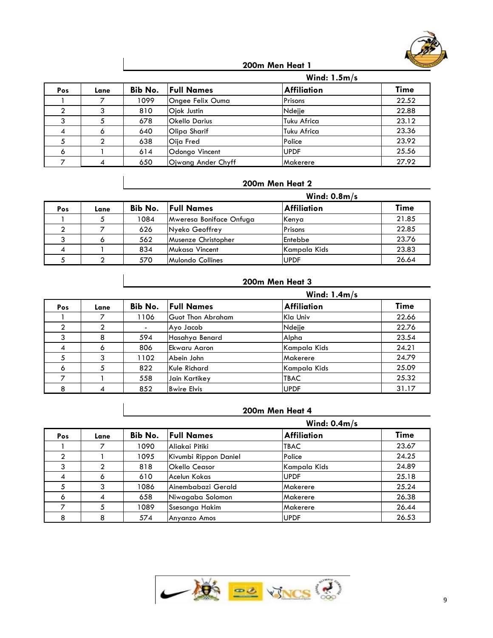

|                |      | Wind: $1.5m/s$ |                      |                    |       |  |  |  |
|----------------|------|----------------|----------------------|--------------------|-------|--|--|--|
| Pos            | Lane | Bib No.        | <b>Full Names</b>    | <b>Affiliation</b> | Time  |  |  |  |
|                |      | 1099           | Ongee Felix Ouma     | Prisons            | 22.52 |  |  |  |
|                |      | 810            | Ojok Justin          | Ndejje             | 22.88 |  |  |  |
|                |      | 678            | <b>Okello Darius</b> | Tuku Africa        | 23.12 |  |  |  |
| $\overline{4}$ |      | 640            | Olipa Sharif         | Tuku Africa        | 23.36 |  |  |  |
|                |      | 638            | Oija Fred            | Police             | 23.92 |  |  |  |
| 6              |      | 614            | Odongo Vincent       | <b>UPDF</b>        | 25.56 |  |  |  |
|                | 4    | 650            | Ojwang Ander Chyff   | Makerere           | 27.92 |  |  |  |

#### **200m Men Heat 2**

|                |      | Wind: $0.8m/s$ |                           |                    |             |  |  |  |
|----------------|------|----------------|---------------------------|--------------------|-------------|--|--|--|
| Pos            | Lane |                | <b>Bib No.</b> Full Names | <b>Affiliation</b> | <b>Time</b> |  |  |  |
|                |      | 1084           | Mweresa Boniface Onfuga   | Kenya              | 21.85       |  |  |  |
|                |      | 626            | Nyeko Geoffrey            | Prisons            | 22.85       |  |  |  |
|                |      | 562            | Musenze Christopher       | Entebbe            | 23.76       |  |  |  |
| $\overline{4}$ |      | 834            | Mukasa Vincent            | Kampala Kids       | 23.83       |  |  |  |
|                |      | 570            | Mulondo Collines          | <b>UPDF</b>        | 26.64       |  |  |  |

#### **200m Men Heat 3**

|                |      | Wind: $1.4m/s$ |                    |                    |             |  |  |  |
|----------------|------|----------------|--------------------|--------------------|-------------|--|--|--|
| Pos            | Lane | Bib No.        | <b>Full Names</b>  | <b>Affiliation</b> | <b>Time</b> |  |  |  |
|                |      | 1106           | Guot Thon Abraham  | Kla Univ           | 22.66       |  |  |  |
|                | ◠    |                | Ayo Jacob          | Ndejje             | 22.76       |  |  |  |
| 3              | 8    | 594            | Hasahya Benard     | Alpha              | 23.54       |  |  |  |
| $\overline{4}$ | ω    | 806            | Ekwaru Aaron       | Kampala Kids       | 24.21       |  |  |  |
|                | ົ    | 1102           | Abein John         | Makerere           | 24.79       |  |  |  |
| 6              |      | 822            | Kule Richard       | Kampala Kids       | 25.09       |  |  |  |
|                |      | 558            | Jain Kartikey      | <b>TBAC</b>        | 25.32       |  |  |  |
| 8              |      | 852            | <b>Bwire Elvis</b> | <b>UPDF</b>        | 31.17       |  |  |  |

|                |              | Wind: $0.4m/s$ |                       |                    |             |  |  |  |
|----------------|--------------|----------------|-----------------------|--------------------|-------------|--|--|--|
| Pos            | Lane         | Bib No.        | <b>Full Names</b>     | <b>Affiliation</b> | <b>Time</b> |  |  |  |
|                |              | 1090           | Aliakai Pitiki        | <b>TBAC</b>        | 23.67       |  |  |  |
|                |              | 1095           | Kivumbi Rippon Daniel | Police             | 24.25       |  |  |  |
|                |              | 818            | Okello Ceasor         | Kampala Kids       | 24.89       |  |  |  |
| $\overline{A}$ | <sup>o</sup> | 610            | Acelun Kokas          | <b>UPDF</b>        | 25.18       |  |  |  |
| 5              |              | 1086           | Ainembabazi Gerald    | Makerere           | 25.24       |  |  |  |
| 6              |              | 658            | Niwagaba Solomon      | Makerere           | 26.38       |  |  |  |
|                |              | 1089           | Ssesanga Hakim        | Makerere           | 26.44       |  |  |  |
| 8              |              | 574            | Anyanzo Amos          | <b>UPDF</b>        | 26.53       |  |  |  |

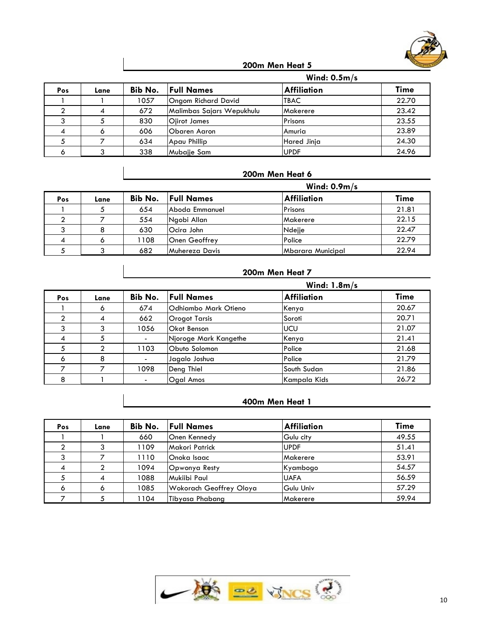

|     |      |         | Wind: $0.5m/s$            |                    |             |
|-----|------|---------|---------------------------|--------------------|-------------|
| Pos | Lane | Bib No. | <b>Full Names</b>         | <b>Affiliation</b> | <b>Time</b> |
|     |      | 1057    | Ongom Richard David       | <b>TBAC</b>        | 22.70       |
|     |      | 672     | Malimbas Sajars Wepukhulu | Makerere           | 23.42       |
|     |      | 830     | Ojirot James              | Prisons            | 23.55       |
| 4   |      | 606     | Obaren Aaron              | Amuria             | 23.89       |
|     |      | 634     | Apau Phillip              | Hared Jinja        | 24.30       |
|     |      | 338     | Mubajie Sam               | <b>UPDF</b>        | 24.96       |

#### **200m Men Heat 6**

|     |      | Wind: $0.9m/s$ |                           |                    |             |  |  |  |
|-----|------|----------------|---------------------------|--------------------|-------------|--|--|--|
| Pos | Lane |                | <b>Bib No.</b> Full Names | <b>Affiliation</b> | <b>Time</b> |  |  |  |
|     |      | 654            | Aboda Emmanuel            | Prisons            | 21.81       |  |  |  |
|     |      | 554            | Ngobi Allan               | Makerere           | 22.15       |  |  |  |
|     |      | 630            | Ocira John                | Ndejje             | 22.47       |  |  |  |
| 4   |      | 1108           | <b>Onen Geoffrey</b>      | Police             | 22.79       |  |  |  |
|     |      | 682            | Muhereza Davis            | Mbarara Municipal  | 22.94       |  |  |  |

#### **200m Men Heat 7**

|            |      | Wind: $1.8m/s$ |                       |                    |             |  |  |  |
|------------|------|----------------|-----------------------|--------------------|-------------|--|--|--|
| <b>Pos</b> | Lane | Bib No.        | <b>Full Names</b>     | <b>Affiliation</b> | <b>Time</b> |  |  |  |
|            | O    | 674            | Odhiambo Mark Otieno  | Kenya              | 20.67       |  |  |  |
|            | 4    | 662            | Orogot Tarsis         | Soroti             | 20.71       |  |  |  |
| 3          |      | 1056           | Okot Benson           | <b>UCU</b>         | 21.07       |  |  |  |
| 4          |      |                | Njoroge Mark Kangethe | Kenya              | 21.41       |  |  |  |
|            |      | 1103           | Obuto Solomon         | Police             | 21.68       |  |  |  |
| 6          | 8    | $\blacksquare$ | Jagalo Joshua         | Police             | 21.79       |  |  |  |
|            |      | 1098           | Deng Thiel            | South Sudan        | 21.86       |  |  |  |
| 8          |      |                | <b>Ogal Amos</b>      | Kampala Kids       | 26.72       |  |  |  |

| Pos                      | Lane | Bib No. | <b>Full Names</b>       | <b>Affiliation</b> | <b>Time</b> |
|--------------------------|------|---------|-------------------------|--------------------|-------------|
|                          |      | 660     | Onen Kennedy            | Gulu city          | 49.55       |
|                          |      | 1109    | Makori Patrick          | <b>UPDF</b>        | 51.41       |
|                          |      | 1110    | Onoka Isaac             | Makerere           | 53.91       |
| $\overline{\mathcal{A}}$ |      | 1094    | Opwonya Resty           | Kyambogo           | 54.57       |
|                          | 4    | 1088    | Mukiibi Paul            | <b>UAFA</b>        | 56.59       |
| 6                        |      | 1085    | Wokorach Geoffrey Oloya | Gulu Univ          | 57.29       |
|                          |      | 1104    | Tibyasa Phabang         | Makerere           | 59.94       |

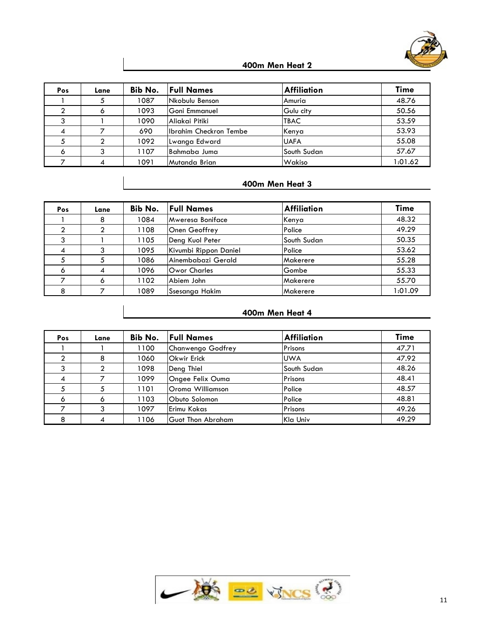

| Pos                      | Lane | Bib No. | <b>Full Names</b>      | <b>Affiliation</b> | <b>Time</b> |
|--------------------------|------|---------|------------------------|--------------------|-------------|
|                          |      | 1087    | Nkobulu Benson         | Amuria             | 48.76       |
|                          |      | 1093    | lGoni Emmanuel         | Gulu city          | 50.56       |
| ົ                        |      | 1090    | Aliakai Pitiki         | <b>TBAC</b>        | 53.59       |
| $\overline{\mathcal{A}}$ |      | 690     | Ibrahim Checkron Tembe | Kenya              | 53.93       |
|                          |      | 1092    | Lwanga Edward          | <b>UAFA</b>        | 55.08       |
| 6                        | ົ    | 1107    | Bahmaba Juma           | South Sudan        | 57.67       |
|                          |      | 1091    | Mutanda Brian          | Wakiso             | 1:01.62     |

#### **400m Men Heat 3**

| Pos            | Lane | Bib No. | <b>Full Names</b>       | <b>Affiliation</b> | Time    |
|----------------|------|---------|-------------------------|--------------------|---------|
|                | 8    | 1084    | <b>Mweresa Boniface</b> | Kenya              | 48.32   |
|                |      | 1108    | Onen Geoffrey           | Police             | 49.29   |
|                |      | 1105    | Deng Kuol Peter         | South Sudan        | 50.35   |
| $\overline{4}$ |      | 1095    | Kivumbi Rippon Daniel   | Police             | 53.62   |
| 5              |      | 1086    | Ainembabazi Gerald      | Makerere           | 55.28   |
| 6              |      | 1096    | Owor Charles            | Gombe              | 55.33   |
|                | ۰    | 1102    | Abiem John              | Makerere           | 55.70   |
| 8              |      | 1089    | Ssesanga Hakim          | Makerere           | 1:01.09 |

| Pos | Lane | Bib No. | <b>Full Names</b>        | <b>Affiliation</b> | <b>Time</b> |
|-----|------|---------|--------------------------|--------------------|-------------|
|     |      | 1100    | Chanwengo Godfrey        | Prisons            | 47.71       |
| 2   | 8    | 1060    | <b>Okwir Erick</b>       | <b>UWA</b>         | 47.92       |
|     |      | 1098    | Deng Thiel               | South Sudan        | 48.26       |
| 4   |      | 1099    | Ongee Felix Ouma         | Prisons            | 48.41       |
|     |      | 1101    | lOroma Williamson        | Police             | 48.57       |
| 6   |      | 1103    | Obuto Solomon            | Police             | 48.81       |
|     | ົ    | 1097    | Erimu Kokas              | Prisons            | 49.26       |
| 8   |      | 1106    | <b>Guot Thon Abraham</b> | Kla Univ           | 49.29       |

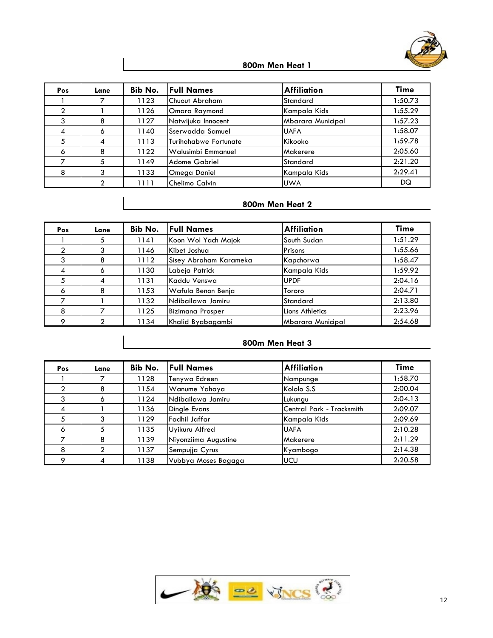

| Pos | Lane | Bib No. | <b>Full Names</b>            | <b>Affiliation</b> | <b>Time</b> |
|-----|------|---------|------------------------------|--------------------|-------------|
|     |      | 1123    | Chuout Abraham               | Standard           | 1:50.73     |
|     |      | 1126    | Omara Raymond                | Kampala Kids       | 1:55.29     |
| 3   | 8    | 1127    | Natwijuka Innocent           | Mbarara Municipal  | 1:57.23     |
| 4   | 6    | 1140    | <b>Sserwadda Samuel</b>      | <b>UAFA</b>        | 1:58.07     |
| 5   | 4    | 1113    | <b>Turihohabwe Fortunate</b> | Kikooko            | 1:59.78     |
| 6   | 8    | 1122    | Walusimbi Emmanuel           | <b>Makerere</b>    | 2:05.60     |
|     | 5    | 1149    | Adome Gabriel                | Standard           | 2:21.20     |
| 8   | 3    | 1133    | Omega Daniel                 | Kampala Kids       | 2:29.41     |
|     | ◠    | 1111    | Chelimo Calvin               | <b>UWA</b>         | DQ          |

#### **800m Men Heat 2**

| Pos            | Lane | Bib No. | <b>Full Names</b>      | <b>Affiliation</b> | Time    |
|----------------|------|---------|------------------------|--------------------|---------|
|                | C    | 1141    | Koon Wol Yach Majok    | South Sudan        | 1:51.29 |
| $\mathfrak{p}$ |      | 1146    | Kibet Joshua           | Prisons            | 1:55.66 |
|                | 8    | 1112    | Sisey Abraham Karameka | Kapchorwa          | 1:58.47 |
| $\overline{4}$ | 6    | 1130    | Labeja Patrick         | Kampala Kids       | 1:59.92 |
|                |      | 1131    | Kaddu Venswa           | <b>UPDF</b>        | 2:04.16 |
| 6              | 8    | 1153    | Wafula Benon Benja     | lTororo            | 2:04.71 |
|                |      | 1132    | Ndibailawa Jamiru      | Standard           | 2:13.80 |
| 8              |      | 1125    | Bizimana Prosper       | Lions Athletics    | 2:23.96 |
| $\circ$        |      | 1134    | Khalid Byabagambi      | Mbarara Municipal  | 2:54.68 |

| Pos     | Lane | Bib No. | <b>Full Names</b>    | <b>Affiliation</b>         | Time    |
|---------|------|---------|----------------------|----------------------------|---------|
|         |      | 1128    | Tenywa Edreen        | Nampunge                   | 1:58.70 |
|         | 8    | 1154    | Wanume Yahaya        | Kololo S.S                 | 2:00.04 |
| 3       | 6    | 1124    | Ndibailawa Jamiru    | Lukungu                    | 2:04.13 |
| 4       |      | 1136    | <b>Dingle Evans</b>  | lCentral Park - Tracksmith | 2:09.07 |
|         | 3    | 1129    | Fadhil Jaffar        | Kampala Kids               | 2:09.69 |
| 6       | 5    | 1135    | Uyikuru Alfred       | <b>UAFA</b>                | 2:10.28 |
|         | 8    | 1139    | Niyonziima Augustine | Makerere                   | 2:11.29 |
| 8       | C    | 1137    | Sempujja Cyrus       | Kyambogo                   | 2:14.38 |
| $\circ$ | 4    | 1138    | Vubbya Moses Bagaga  | <b>IUCU</b>                | 2:20.58 |

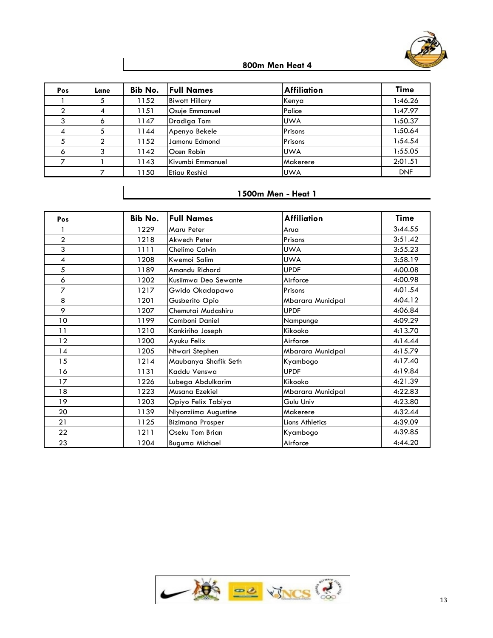

| Pos            | Lane           | Bib No. | <b>Full Names</b>     | <b>Affiliation</b> | <b>Time</b> |
|----------------|----------------|---------|-----------------------|--------------------|-------------|
|                |                | 1152    | <b>Biwott Hillary</b> | Kenya              | 1:46.26     |
|                | 4              | 1151    | Osuje Emmanuel        | Police             | 1:47.97     |
| 3              | 6              | 1147    | Dradiga Tom           | <b>UWA</b>         | 1:50.37     |
| $\overline{4}$ |                | 1144    | Apenyo Bekele         | Prisons            | 1:50.64     |
|                | $\mathfrak{p}$ | 1152    | Jamonu Edmond         | Prisons            | 1:54.54     |
| 6              | 3              | 1142    | Ocen Robin            | <b>UWA</b>         | 1:55.05     |
|                |                | 1143    | Kivumbi Emmanuel      | Makerere           | 2:01.51     |
|                |                | 1150    | Etiau Rashid          | <b>UWA</b>         | <b>DNF</b>  |

| Pos            | Bib No. | <b>Full Names</b>       | <b>Affiliation</b> | <b>Time</b> |
|----------------|---------|-------------------------|--------------------|-------------|
|                | 1229    | Maru Peter              | Arua               | 3:44.55     |
| $\overline{2}$ | 1218    | Akwech Peter            | Prisons            | 3:51.42     |
| 3              | 1111    | Chelimo Calvin          | <b>UWA</b>         | 3:55.23     |
| 4              | 1208    | Kwemoi Salim            | <b>UWA</b>         | 3:58.19     |
| 5              | 1189    | Amandu Richard          | <b>UPDF</b>        | 4:00.08     |
| 6              | 1202    | Kusiimwa Deo Sewante    | Airforce           | 4:00.98     |
| $\overline{7}$ | 1217    | Gwido Okadapawo         | Prisons            | 4:01.54     |
| 8              | 1201    | Gusberito Opio          | Mbarara Municipal  | 4:04.12     |
| 9              | 1207    | Chemutai Mudashiru      | <b>UPDF</b>        | 4:06.84     |
| 10             | 1199    | Comboni Daniel          | Nampunge           | 4:09.29     |
| 11             | 1210    | Kankiriho Joseph        | Kikooko            | 4:13.70     |
| 12             | 1200    | Ayuku Felix             | Airforce           | 4:14.44     |
| 14             | 1205    | Ntwari Stephen          | Mbarara Municipal  | 4:15.79     |
| 15             | 1214    | Maubanya Shafik Seth    | Kyambogo           | 4:17.40     |
| 16             | 1131    | Kaddu Venswa            | <b>UPDF</b>        | 4:19.84     |
| 17             | 1226    | Lubega Abdulkarim       | Kikooko            | 4:21.39     |
| 18             | 1223    | Musana Ezekiel          | Mbarara Municipal  | 4:22.83     |
| 19             | 1203    | Opiyo Felix Tabiya      | Gulu Univ          | 4:23.80     |
| 20             | 1139    | Niyonziima Augustine    | Makerere           | 4:32.44     |
| 21             | 1125    | <b>Bizimana Prosper</b> | Lions Athletics    | 4:39.09     |
| 22             | 1211    | Oseku Tom Brian         | Kyambogo           | 4:39.85     |
| 23             | 1204    | <b>Buguma Michael</b>   | Airforce           | 4:44.20     |

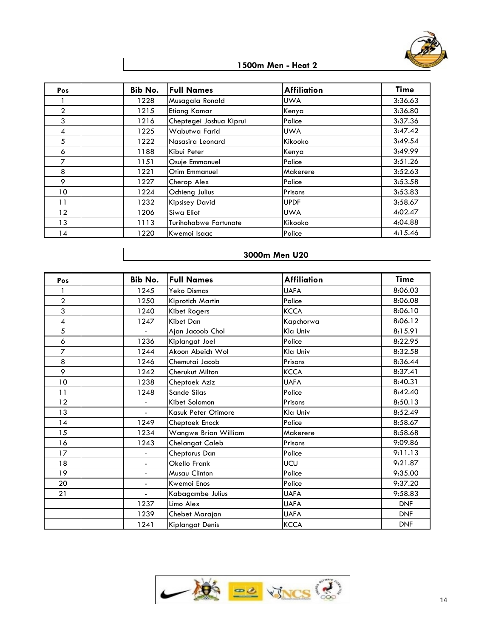

| Pos            | Bib No. | <b>Full Names</b>       | <b>Affiliation</b> | <b>Time</b> |
|----------------|---------|-------------------------|--------------------|-------------|
|                | 1228    | Musagala Ronald         | <b>UWA</b>         | 3:36.63     |
| $\overline{2}$ | 1215    | <b>Etiang Kamar</b>     | Kenya              | 3:36.80     |
| 3              | 1216    | Cheptegei Joshua Kiprui | Police             | 3:37.36     |
| 4              | 1225    | Wabutwa Farid           | <b>UWA</b>         | 3:47.42     |
| 5              | 1222    | Nasasira Leonard        | Kikooko            | 3:49.54     |
| 6              | 1188    | Kibui Peter             | Kenya              | 3:49.99     |
| 7              | 1151    | Osuje Emmanuel          | Police             | 3:51.26     |
| 8              | 1221    | Otim Emmanuel           | Makerere           | 3:52.63     |
| 9              | 1227    | Cherop Alex             | Police             | 3:53.58     |
| 10             | 1224    | Ochieng Julius          | Prisons            | 3:53.83     |
| 11             | 1232    | <b>Kipsisey David</b>   | <b>UPDF</b>        | 3:58.67     |
| 12             | 1206    | Siwa Eliot              | <b>UWA</b>         | 4:02.47     |
| 13             | 1113    | Turihohabwe Fortunate   | Kikooko            | 4:04.88     |
| 14             | 1220    | Kwemoi Isaac            | Police             | 4:15.46     |

# **3000m Men U20**

| Pos             | Bib No.                  | <b>Full Names</b>    | <b>Affiliation</b> | <b>Time</b> |
|-----------------|--------------------------|----------------------|--------------------|-------------|
|                 | 1245                     | <b>Yeko Dismas</b>   | <b>UAFA</b>        | 8:06.03     |
| $\overline{2}$  | 1250                     | Kiprotich Martin     | Police             | 8:06.08     |
| 3               | 1240                     | Kibet Rogers         | <b>KCCA</b>        | 8:06.10     |
| 4               | 1247                     | Kibet Dan            | Kapchorwa          | 8:06.12     |
| 5               |                          | Ajan Jacoob Chol     | Kla Univ           | 8:15.91     |
| 6               | 1236                     | Kiplangat Joel       | Police             | 8:22.95     |
| $\overline{7}$  | 1244                     | Akoon Abeich Wol     | Kla Univ           | 8:32.58     |
| 8               | 1246                     | Chemutai Jacob       | Prisons            | 8:36.44     |
| 9               | 1242                     | Cherukut Milton      | <b>KCCA</b>        | 8:37.41     |
| 10 <sub>o</sub> | 1238                     | Cheptoek Aziz        | <b>UAFA</b>        | 8:40.31     |
| 11              | 1248                     | Sande Silas          | Police             | 8:42.40     |
| 12              |                          | Kibet Solomon        | Prisons            | 8:50.13     |
| 13              | $\mathbf{r}$             | Kasuk Peter Otimore  | Kla Univ           | 8:52.49     |
| 14              | 1249                     | Cheptoek Enock       | Police             | 8:58.67     |
| 15              | 1234                     | Wangwe Brian William | Makerere           | 8:58.68     |
| 16              | 1243                     | Chelangat Caleb      | Prisons            | 9:09.86     |
| 17              | $\overline{\phantom{0}}$ | Cheptorus Dan        | Police             | 9:11.13     |
| 18              | $\blacksquare$           | Okello Frank         | UCU                | 9:21.87     |
| 19              | $\overline{\phantom{0}}$ | Musau Clinton        | Police             | 9:35.00     |
| 20              | $\overline{\phantom{0}}$ | Kwemoi Enos          | Police             | 9:37.20     |
| 21              | $\overline{\phantom{0}}$ | Kabagambe Julius     | <b>UAFA</b>        | 9:58.83     |
|                 | 1237                     | Limo Alex            | <b>UAFA</b>        | <b>DNF</b>  |
|                 | 1239                     | Chebet Marajan       | <b>UAFA</b>        | <b>DNF</b>  |
|                 | 1241                     | Kiplangat Denis      | <b>KCCA</b>        | <b>DNF</b>  |

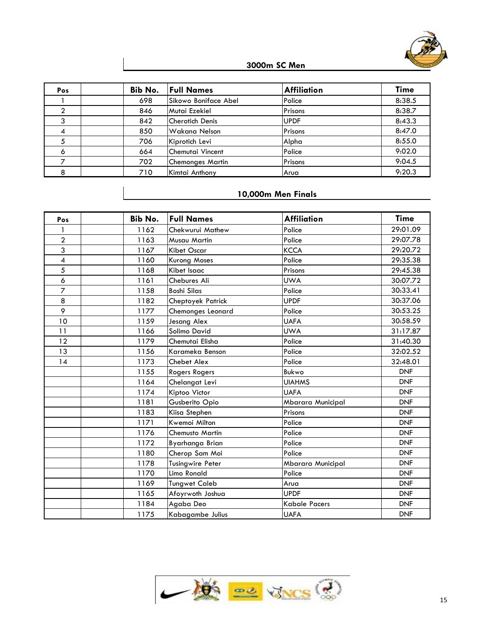

# **3000m SC Men**

| Pos          | Bib No. | <b>Full Names</b>       | <b>Affiliation</b> | <b>Time</b> |
|--------------|---------|-------------------------|--------------------|-------------|
|              | 698     | Sikowo Boniface Abel    | Police             | 8:38.5      |
|              | 846     | Mutai Ezekiel           | Prisons            | 8:38.7      |
| <sup>o</sup> | 842     | Cherotich Denis         | <b>UPDF</b>        | 8:43.3      |
| 4            | 850     | <b>Wakana Nelson</b>    | Prisons            | 8:47.0      |
|              | 706     | Kiprotich Levi          | Alpha              | 8:55.0      |
| 6            | 664     | Chemutai Vincent        | Police             | 9:02.0      |
|              | 702     | <b>Chemonges Martin</b> | Prisons            | 9:04.5      |
| 8            | 710     | Kimtai Anthony          | Arua               | 9:20.3      |

# **10,000m Men Finals**

| Pos            | Bib No. | <b>Full Names</b>    | <b>Affiliation</b>       | <b>Time</b> |
|----------------|---------|----------------------|--------------------------|-------------|
|                | 1162    | Chekwurui Mathew     | Police                   | 29:01.09    |
| $\overline{2}$ | 1163    | Musau Martin         | Police                   | 29:07.78    |
| 3              | 1167    | Kibet Oscar          | <b>KCCA</b>              | 29:20.72    |
| 4              | 1160    | <b>Kurong Moses</b>  | Police                   | 29:35.38    |
| 5              | 1168    | Kibet Isaac          | Prisons                  | 29:45.38    |
| 6              | 1161    | Chebures Ali         | <b>UWA</b>               | 30:07.72    |
| $\overline{7}$ | 1158    | <b>Boshi Silas</b>   | Police                   | 30:33.41    |
| 8              | 1182    | Cheptoyek Patrick    | <b>UPDF</b>              | 30:37.06    |
| 9              | 1177    | Chemonges Leonard    | Police                   | 30:53.25    |
| 10             | 1159    | Jesang Alex          | <b>UAFA</b>              | 30:58.59    |
| 11             | 1166    | Solimo David         | <b>UWA</b>               | 31:17.87    |
| 12             | 1179    | Chemutai Elisha      | Police                   | 31:40.30    |
| 13             | 1156    | Karameka Benson      | Police                   | 32:02.52    |
| 14             | 1173    | Chebet Alex          | Police                   | 32:48.01    |
|                | 1155    | Rogers Rogers        | Bukwo                    | <b>DNF</b>  |
|                | 1164    | Chelangat Levi       | <b>UIAHMS</b>            | <b>DNF</b>  |
|                | 1174    | Kiptoo Victor        | <b>UAFA</b>              | <b>DNF</b>  |
|                | 1181    | Gusberito Opio       | Mbarara Municipal        | <b>DNF</b>  |
|                | 1183    | Kiisa Stephen        | Prisons                  | <b>DNF</b>  |
|                | 1171    | Kwemoi Milton        | Police                   | <b>DNF</b>  |
|                | 1176    | Chemusto Martin      | Police                   | <b>DNF</b>  |
|                | 1172    | Byarhanga Brian      | Police                   | <b>DNF</b>  |
|                | 1180    | Cherop Sam Moi       | Police                   | <b>DNF</b>  |
|                | 1178    | Tusingwire Peter     | <b>Mbarara Municipal</b> | <b>DNF</b>  |
|                | 1170    | Limo Ronald          | Police                   | <b>DNF</b>  |
|                | 1169    | <b>Tungwet Caleb</b> | Arua                     | <b>DNF</b>  |
|                | 1165    | Afoyrwoth Joshua     | <b>UPDF</b>              | <b>DNF</b>  |
|                | 1184    | Agaba Deo            | <b>Kabale Pacers</b>     | <b>DNF</b>  |
|                | 1175    | Kabagambe Julius     | <b>UAFA</b>              | <b>DNF</b>  |